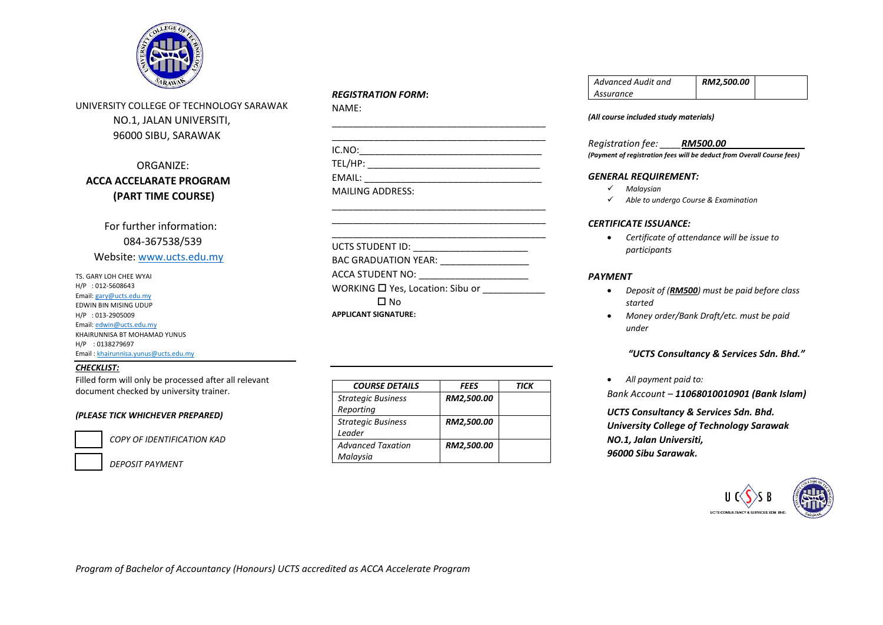

UNIVERSITY COLLEGE OF TECHNOLOGY SARAWAK NO.1, JALAN UNIVERSITI, 96000 SIBU, SARAWAK

# ORGANIZE:  **ACCA ACCELARATE PROGRAM (PART TIME COURSE)**

 For further information: 084-367538/539 Website: [www.ucts.edu.my](http://www.ucts.edu.my/)

TS. GARY LOH CHEE WYAI H/P : 012-5608643 Email[: gary@ucts.edu.my](mailto:ramli.rashidi@ucts.edu.my) EDWIN BIN MISING UDUP H/P : 013-2905009 Email[: edwin@ucts.edu.my](mailto:edwin@ucts.edu.my) KHAIRUNNISA BT MOHAMAD YUNUS H/P : 0138279697 Email : khairunnisa.yunus@ucts.edu.my

#### *CHECKLIST:*

Filled form will only be processed after all relevant document checked by university trainer.

#### *(PLEASE TICK WHICHEVER PREPARED)*



 $\overline{a}$ 

 *COPY OF IDENTIFICATION KAD*

 *DEPOSIT PAYMENT*

#### *REGISTRATION FORM***:**

NAME:

| IC.NO:                  |  |
|-------------------------|--|
| TEL/HP:                 |  |
| EMAIL:                  |  |
| <b>MAILING ADDRESS:</b> |  |

\_\_\_\_\_\_\_\_\_\_\_\_\_\_\_\_\_\_\_\_\_\_\_\_\_\_\_\_\_\_\_\_\_\_\_\_\_\_\_\_\_ \_\_\_\_\_\_\_\_\_\_\_\_\_\_\_\_\_\_\_\_\_\_\_\_\_\_\_\_\_\_\_\_\_\_\_\_\_\_\_\_\_

\_\_\_\_\_\_\_\_\_\_\_\_\_\_\_\_\_\_\_\_\_\_\_\_\_\_\_\_\_\_\_\_\_\_\_\_\_\_\_\_\_

| BAC GRADUATION YEAR:                  |  |
|---------------------------------------|--|
| ACCA STUDENT NO:                      |  |
| WORKING $\Box$ Yes, Location: Sibu or |  |
| ⊟ No                                  |  |
| <b>APPLICANT SIGNATURE:</b>           |  |

| <b>COURSE DETAILS</b>     | FEES       | TICK |
|---------------------------|------------|------|
| <b>Strategic Business</b> | RM2,500.00 |      |
| Reporting                 |            |      |
| <b>Strategic Business</b> | RM2,500.00 |      |
| Leader                    |            |      |
| <b>Advanced Taxation</b>  | RM2,500.00 |      |
| Malaysia                  |            |      |

#### *Advanced Audit and Assurance RM2,500.00*

#### *(All course included study materials)*

*Registration fee: \_\_\_\_RM500.00\_\_\_\_\_\_\_\_\_\_\_\_\_\_\_ (Payment of registration fees will be deduct from Overall Course fees)*

#### *GENERAL REQUIREMENT:*

- *Malaysian*
- *Able to undergo Course & Examination*

#### *CERTIFICATE ISSUANCE:*

 *Certificate of attendance will be issue to participants*

#### *PAYMENT*

- *Deposit of (RM500) must be paid before class started*
- *Money order/Bank Draft/etc. must be paid under*

### *"UCTS Consultancy & Services Sdn. Bhd."*

*All payment paid to:*

*Bank Account – 11068010010901 (Bank Islam)*

*UCTS Consultancy & Services Sdn. Bhd. University College of Technology Sarawak NO.1, Jalan Universiti, 96000 Sibu Sarawak.*